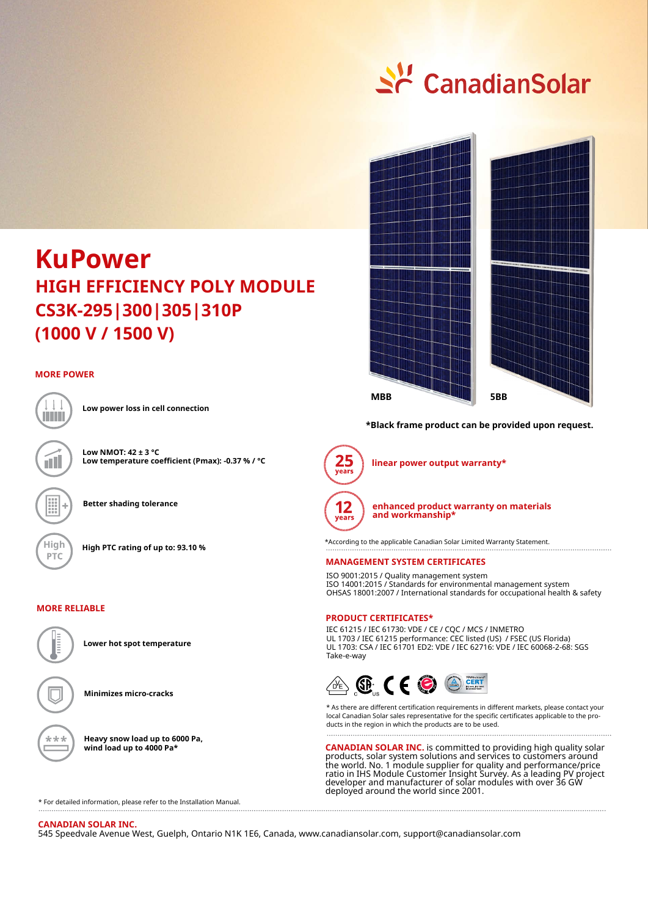# $\leq$  Canadian Solar



#### **MORE POWER**



íH

**Low power loss in cell connection**

**Low NMOT: 42 ± 3 °C Low temperature coefficient (Pmax): -0.37 % / °C**

**Better shading tolerance**

**High High PTC rating of up to: 93.10 %**

#### **MORE RELIABLE**



**Heavy snow load up to 6000 Pa,** 

**Minimizes micro-cracks**

**wind load up to 4000 Pa\***



**\*Black frame product can be provided upon request.**



**linear power output warranty\***



**enhanced product warranty on materials and workmanship\***

\*According to the applicable Canadian Solar Limited Warranty Statement.

#### **MANAGEMENT SYSTEM CERTIFICATES**

ISO 9001:2015 / Quality management system ISO 14001:2015 / Standards for environmental management system OHSAS 18001:2007 / International standards for occupational health & safety

#### **PRODUCT CERTIFICATES\***

IEC 61215 / IEC 61730: VDE / CE / CQC / MCS / INMETRO UL 1703 / IEC 61215 performance: CEC listed (US) / FSEC (US Florida) UL 1703: CSA / IEC 61701 ED2: VDE / IEC 62716: VDE / IEC 60068-2-68: SGS Take-e-way



\* As there are different certification requirements in different markets, please contact your local Canadian Solar sales representative for the specific certificates applicable to the products in the region in which the products are to be used.

**CANADIAN SOLAR INC.** is committed to providing high quality solar products, solar system solutions and services to customers around the world. No. 1 module supplier for quality and performance/price ratio in IHS Module Customer Insight Survey. As a leading PV project developer and manufacturer of solar modules with over 36 GW deployed around the world since 2001.

\* For detailed information, please refer to the Installation Manual.

#### **CANADIAN SOLAR INC.**

545 Speedvale Avenue West, Guelph, Ontario N1K 1E6, Canada, www.canadiansolar.com, support@canadiansolar.com